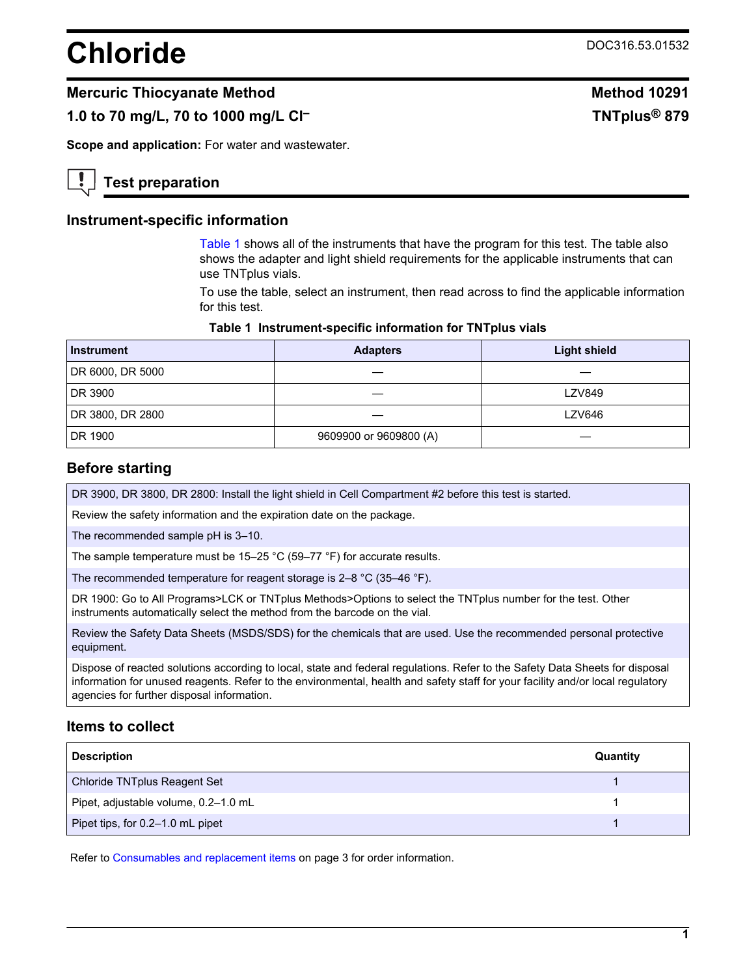# **Chloride** DOC316.53.01532

# **Mercuric Thiocyanate Method Method 10291**

# **1.0 to 70 mg/L, 70 to 1000 mg/L Cl– TNTplus® 879**

**Scope and application:** For water and wastewater.

# **Test preparation**

# **Instrument-specific information**

[Table 1](#page-0-0) shows all of the instruments that have the program for this test. The table also shows the adapter and light shield requirements for the applicable instruments that can use TNTplus vials.

To use the table, select an instrument, then read across to find the applicable information for this test.

#### **Table 1 Instrument-specific information for TNTplus vials**

<span id="page-0-1"></span><span id="page-0-0"></span>

| <b>Instrument</b> | <b>Adapters</b>        | <b>Light shield</b> |
|-------------------|------------------------|---------------------|
| DR 6000, DR 5000  |                        |                     |
| DR 3900           |                        | <b>LZV849</b>       |
| DR 3800, DR 2800  |                        | <b>LZV646</b>       |
| DR 1900           | 9609900 or 9609800 (A) |                     |

# **Before starting**

DR 3900, DR 3800, DR 2800: Install the light shield in Cell Compartment #2 before this test is started.

Review the safety information and the expiration date on the package.

The recommended sample pH is 3–10.

The sample temperature must be 15–25 °C (59–77 °F) for accurate results.

The recommended temperature for reagent storage is 2–8 °C (35–46 °F).

DR 1900: Go to All Programs>LCK or TNTplus Methods>Options to select the TNTplus number for the test. Other instruments automatically select the method from the barcode on the vial.

Review the Safety Data Sheets (MSDS/SDS) for the chemicals that are used. Use the recommended personal protective equipment.

Dispose of reacted solutions according to local, state and federal regulations. Refer to the Safety Data Sheets for disposal information for unused reagents. Refer to the environmental, health and safety staff for your facility and/or local regulatory agencies for further disposal information.

# **Items to collect**

| <b>Description</b>                   | Quantity |
|--------------------------------------|----------|
| Chloride TNTplus Reagent Set         |          |
| Pipet, adjustable volume, 0.2-1.0 mL |          |
| Pipet tips, for 0.2–1.0 mL pipet     |          |

Refer to [Consumables and replacement items](#page-2-0) on page 3 for order information.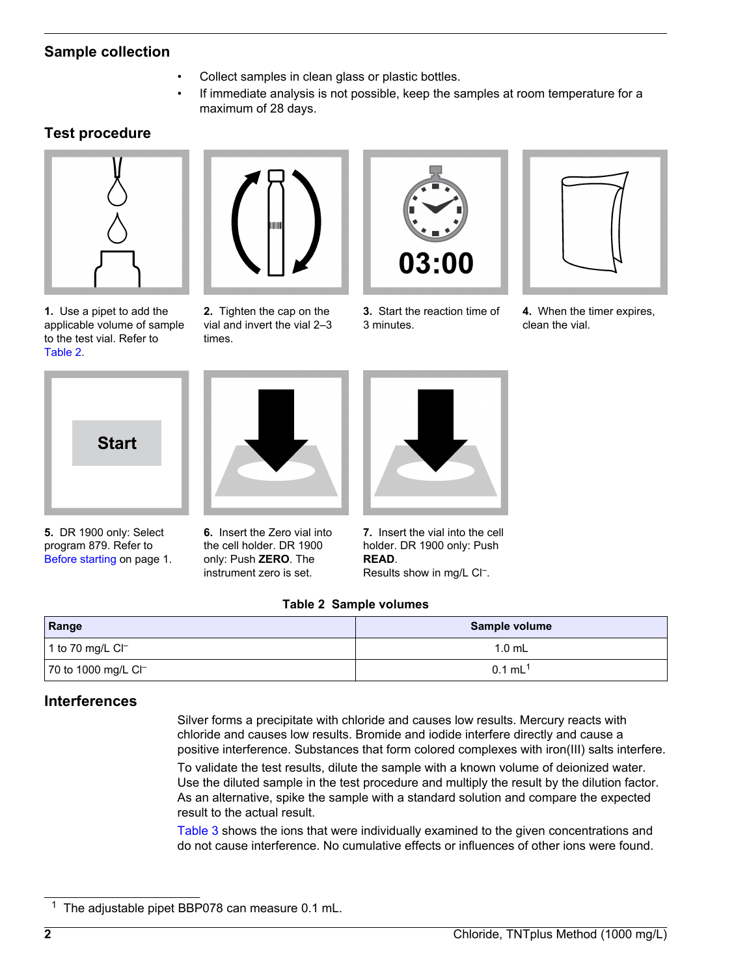# **Sample collection**

- Collect samples in clean glass or plastic bottles.
- If immediate analysis is not possible, keep the samples at room temperature for a maximum of 28 days.

# **Test procedure**

<span id="page-1-0"></span>

**1.** Use a pipet to add the applicable volume of sample to the test vial. Refer to [Table 2](#page-1-0).



**2.** Tighten the cap on the vial and invert the vial 2–3 times.



**3.** Start the reaction time of 3 minutes.



**4.** When the timer expires, clean the vial.



**5.** DR 1900 only: Select program 879. Refer to [Before starting](#page-0-1) on page 1.



**6.** Insert the Zero vial into the cell holder. DR 1900 only: Push **ZERO**. The instrument zero is set.



**7.** Insert the vial into the cell holder. DR 1900 only: Push **READ**. Results show in mg/L CI<sup>-</sup>.

# **Table 2 Sample volumes**

| Range                            | Sample volume         |  |
|----------------------------------|-----------------------|--|
| 1 to 70 mg/L Cl <sup>–</sup>     | 1.0 mL                |  |
| 70 to 1000 mg/L Cl <sup>-1</sup> | $0.1$ mL <sup>1</sup> |  |

# **Interferences**

Silver forms a precipitate with chloride and causes low results. Mercury reacts with chloride and causes low results. Bromide and iodide interfere directly and cause a positive interference. Substances that form colored complexes with iron(III) salts interfere.

To validate the test results, dilute the sample with a known volume of deionized water. Use the diluted sample in the test procedure and multiply the result by the dilution factor. As an alternative, spike the sample with a standard solution and compare the expected result to the actual result.

[Table 3](#page-2-1) shows the ions that were individually examined to the given concentrations and do not cause interference. No cumulative effects or influences of other ions were found.

The adjustable pipet BBP078 can measure 0.1 mL.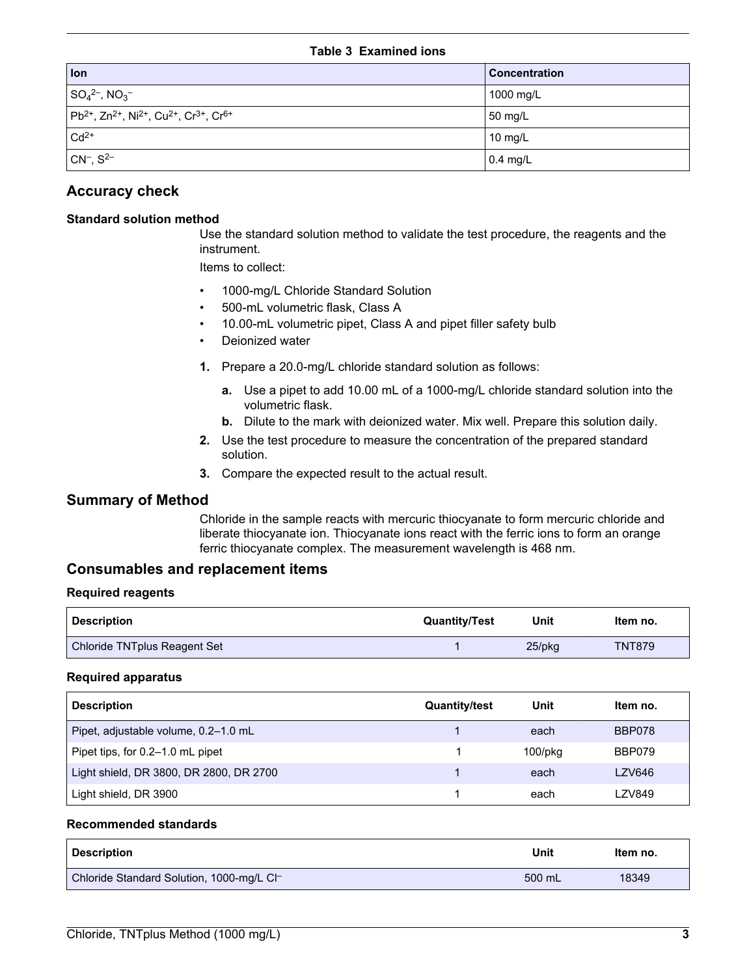#### **Table 3 Examined ions**

<span id="page-2-1"></span>

| lon                                                                                                       | <b>Concentration</b> |
|-----------------------------------------------------------------------------------------------------------|----------------------|
| $ SO_4{}^{2-}$ , NO <sub>3</sub> -                                                                        | 1000 mg/L            |
| $ Pb^{2+}$ , Zn <sup>2+</sup> , Ni <sup>2+</sup> , Cu <sup>2+</sup> , Cr <sup>3+</sup> , Cr <sup>6+</sup> | 50 mg/L              |
| $Cd2+$                                                                                                    | 10 mg/L              |
| $ CN-, S2-$                                                                                               | $0.4$ mg/L           |

# **Accuracy check**

# **Standard solution method**

Use the standard solution method to validate the test procedure, the reagents and the instrument.

Items to collect:

- 1000-mg/L Chloride Standard Solution
- 500-mL volumetric flask, Class A
- 10.00-mL volumetric pipet, Class A and pipet filler safety bulb
- Deionized water
- **1.** Prepare a 20.0-mg/L chloride standard solution as follows:
	- **a.** Use a pipet to add 10.00 mL of a 1000-mg/L chloride standard solution into the volumetric flask.
	- **b.** Dilute to the mark with deionized water. Mix well. Prepare this solution daily.
- **2.** Use the test procedure to measure the concentration of the prepared standard solution.
- **3.** Compare the expected result to the actual result.

# **Summary of Method**

Chloride in the sample reacts with mercuric thiocyanate to form mercuric chloride and liberate thiocyanate ion. Thiocyanate ions react with the ferric ions to form an orange ferric thiocyanate complex. The measurement wavelength is 468 nm.

# **Consumables and replacement items**

#### **Required reagents**

<span id="page-2-0"></span>

| <b>Description</b>           | <b>Quantity/Test</b> | Unit   | Item no.      |
|------------------------------|----------------------|--------|---------------|
| Chloride TNTplus Reagent Set |                      | 25/pkg | <b>TNT879</b> |

#### **Required apparatus**

| <b>Description</b>                      | <b>Quantity/test</b> | Unit          | Item no. |
|-----------------------------------------|----------------------|---------------|----------|
| Pipet, adjustable volume, 0.2-1.0 mL    |                      | each          | BBP078   |
| Pipet tips, for 0.2–1.0 mL pipet        |                      | $100$ /p $kg$ | BBP079   |
| Light shield, DR 3800, DR 2800, DR 2700 |                      | each          | LZV646   |
| Light shield, DR 3900                   |                      | each          | LZV849   |

#### **Recommended standards**

| <b>Description</b>                        | Unit   | Item no. |
|-------------------------------------------|--------|----------|
| Chloride Standard Solution, 1000-mg/L Cl- | 500 mL | 18349    |